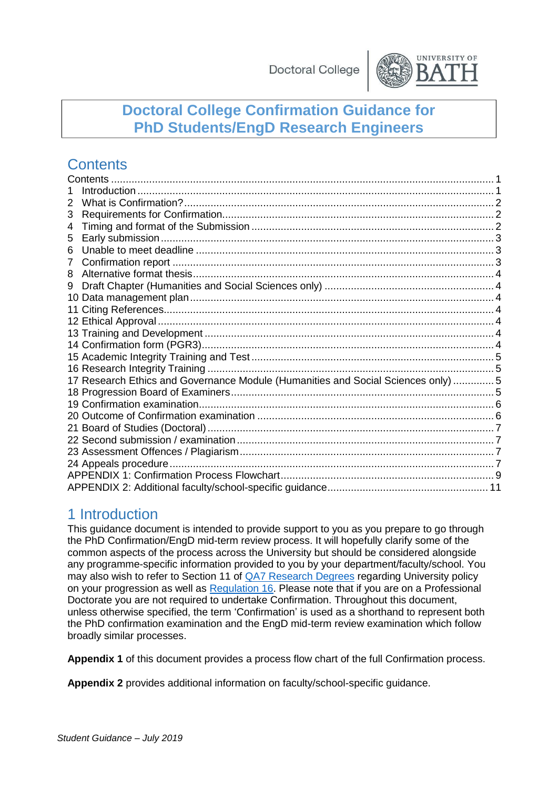

## **Doctoral College Confirmation Guidance for PhD Students/EngD Research Engineers**

## <span id="page-0-0"></span>**Contents**

| 2  |                                                                                  |  |  |  |
|----|----------------------------------------------------------------------------------|--|--|--|
| 3  |                                                                                  |  |  |  |
| 4  |                                                                                  |  |  |  |
| 5  |                                                                                  |  |  |  |
| 6  |                                                                                  |  |  |  |
| 7  |                                                                                  |  |  |  |
| 8  |                                                                                  |  |  |  |
| 9  |                                                                                  |  |  |  |
|    |                                                                                  |  |  |  |
| 11 |                                                                                  |  |  |  |
|    |                                                                                  |  |  |  |
|    |                                                                                  |  |  |  |
|    |                                                                                  |  |  |  |
|    |                                                                                  |  |  |  |
|    |                                                                                  |  |  |  |
|    | 17 Research Ethics and Governance Module (Humanities and Social Sciences only) 5 |  |  |  |
|    |                                                                                  |  |  |  |
|    |                                                                                  |  |  |  |
|    |                                                                                  |  |  |  |
|    |                                                                                  |  |  |  |
|    |                                                                                  |  |  |  |
|    |                                                                                  |  |  |  |
|    |                                                                                  |  |  |  |
|    |                                                                                  |  |  |  |
|    |                                                                                  |  |  |  |

### <span id="page-0-1"></span>1 Introduction

This guidance document is intended to provide support to you as you prepare to go through the PhD Confirmation/EngD mid-term review process. It will hopefully clarify some of the common aspects of the process across the University but should be considered alongside any programme-specific information provided to you by your department/faculty/school. You may also wish to refer to Section 11 of [QA7 Research Degrees](https://www.bath.ac.uk/publications/qa7-research-degrees/) regarding University policy on your progression as well as [Regulation 16.](http://www.bath.ac.uk/regulations/Regulation16.pdf) Please note that if you are on a Professional Doctorate you are not required to undertake Confirmation. Throughout this document, unless otherwise specified, the term 'Confirmation' is used as a shorthand to represent both the PhD confirmation examination and the EngD mid-term review examination which follow broadly similar processes.

**Appendix 1** of this document provides a process flow chart of the full Confirmation process.

**Appendix 2** provides additional information on faculty/school-specific guidance.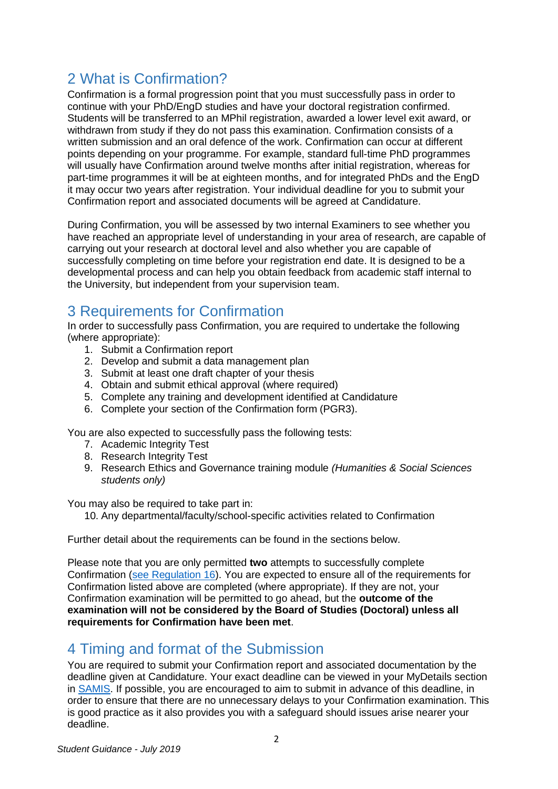## <span id="page-1-0"></span>2 What is Confirmation?

Confirmation is a formal progression point that you must successfully pass in order to continue with your PhD/EngD studies and have your doctoral registration confirmed. Students will be transferred to an MPhil registration, awarded a lower level exit award, or withdrawn from study if they do not pass this examination. Confirmation consists of a written submission and an oral defence of the work. Confirmation can occur at different points depending on your programme. For example, standard full-time PhD programmes will usually have Confirmation around twelve months after initial registration, whereas for part-time programmes it will be at eighteen months, and for integrated PhDs and the EngD it may occur two years after registration. Your individual deadline for you to submit your Confirmation report and associated documents will be agreed at Candidature.

During Confirmation, you will be assessed by two internal Examiners to see whether you have reached an appropriate level of understanding in your area of research, are capable of carrying out your research at doctoral level and also whether you are capable of successfully completing on time before your registration end date. It is designed to be a developmental process and can help you obtain feedback from academic staff internal to the University, but independent from your supervision team.

## <span id="page-1-1"></span>3 Requirements for Confirmation

In order to successfully pass Confirmation, you are required to undertake the following (where appropriate):

- 1. Submit a Confirmation report
- 2. Develop and submit a data management plan
- 3. Submit at least one draft chapter of your thesis
- 4. Obtain and submit ethical approval (where required)
- 5. Complete any training and development identified at Candidature
- 6. Complete your section of the Confirmation form (PGR3).

You are also expected to successfully pass the following tests:

- 7. Academic Integrity Test
- 8. Research Integrity Test
- 9. Research Ethics and Governance training module *(Humanities & Social Sciences students only)*

You may also be required to take part in:

10. Any departmental/faculty/school-specific activities related to Confirmation

Further detail about the requirements can be found in the sections below.

Please note that you are only permitted **two** attempts to successfully complete Confirmation [\(see Regulation 16\)](http://www.bath.ac.uk/regulations/Regulation16.pdf). You are expected to ensure all of the requirements for Confirmation listed above are completed (where appropriate). If they are not, your Confirmation examination will be permitted to go ahead, but the **outcome of the examination will not be considered by the Board of Studies (Doctoral) unless all requirements for Confirmation have been met**.

## <span id="page-1-2"></span>4 Timing and format of the Submission

You are required to submit your Confirmation report and associated documentation by the deadline given at Candidature. Your exact deadline can be viewed in your MyDetails section in [SAMIS. I](http://www.bath.ac.uk/samis)f possible, you are encouraged to aim to submit in advance of this deadline, in order to ensure that there are no unnecessary delays to your Confirmation examination. This is good practice as it also provides you with a safeguard should issues arise nearer your deadline.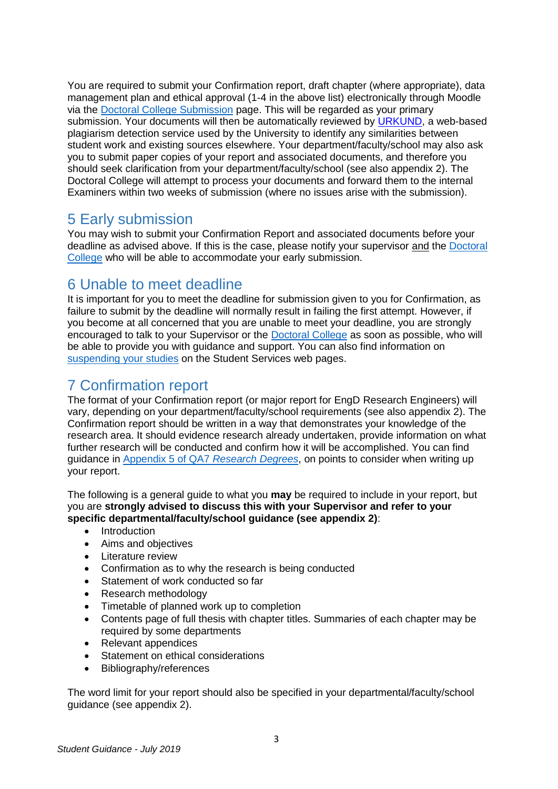You are required to submit your Confirmation report, draft chapter (where appropriate), data management plan and ethical approval (1-4 in the above list) electronically through Moodle via the [Doctoral College Submission](https://moodle.bath.ac.uk/course/view.php?id=58088) page. This will be regarded as your primary submission. Your documents will then be automatically reviewed by [URKUND,](https://www.urkund.com/student/) a web-based plagiarism detection service used by the University to identify any similarities between student work and existing sources elsewhere. Your department/faculty/school may also ask you to submit paper copies of your report and associated documents, and therefore you should seek clarification from your department/faculty/school (see also appendix 2). The Doctoral College will attempt to process your documents and forward them to the internal Examiners within two weeks of submission (where no issues arise with the submission).

#### <span id="page-2-0"></span>5 Early submission

You may wish to submit your Confirmation Report and associated documents before your deadline as advised above. If this is the case, please notify your supervisor and the [Doctoral](http://www.bath.ac.uk/corporate-information/doctoral-college-support-contacts/) [College](http://www.bath.ac.uk/corporate-information/doctoral-college-support-contacts/) who will be able to accommodate your early submission.

## <span id="page-2-1"></span>6 Unable to meet deadline

It is important for you to meet the deadline for submission given to you for Confirmation, as failure to submit by the deadline will normally result in failing the first attempt. However, if you become at all concerned that you are unable to meet your deadline, you are strongly encouraged to talk to your Supervisor or the [Doctoral College](http://www.bath.ac.uk/corporate-information/doctoral-college-support-contacts/) as soon as possible, who will be able to provide you with guidance and support. You can also find information on [suspending your studies](http://www.bath.ac.uk/guides/suspending-your-studies-if-you-are-a-doctoral-student/) on the Student Services web pages.

## <span id="page-2-2"></span>7 Confirmation report

The format of your Confirmation report (or major report for EngD Research Engineers) will vary, depending on your department/faculty/school requirements (see also appendix 2). The Confirmation report should be written in a way that demonstrates your knowledge of the research area. It should evidence research already undertaken, provide information on what further research will be conducted and confirm how it will be accomplished. You can find guidance in [Appendix 5 of QA7](https://www.bath.ac.uk/publications/qa7-research-degrees/attachments/QA7_Appendix_5_-_Confirmation_of_PhD_Registration.pdf) *Research Degrees*, on points to consider when writing up your report.

The following is a general guide to what you **may** be required to include in your report, but you are **strongly advised to discuss this with your Supervisor and refer to your specific departmental/faculty/school guidance (see appendix 2)**:

- Introduction
- Aims and objectives
- Literature review
- Confirmation as to why the research is being conducted
- Statement of work conducted so far
- Research methodology
- Timetable of planned work up to completion
- Contents page of full thesis with chapter titles. Summaries of each chapter may be required by some departments
- Relevant appendices
- Statement on ethical considerations
- Bibliography/references

The word limit for your report should also be specified in your departmental/faculty/school guidance (see appendix 2).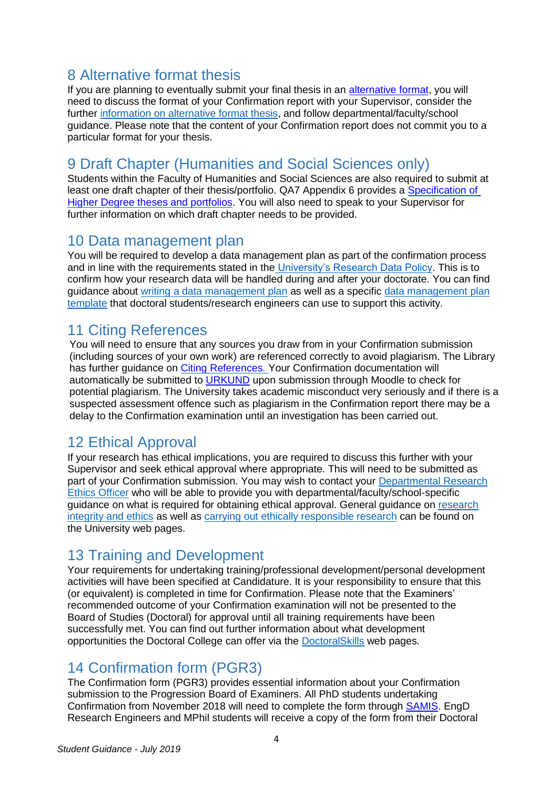## <span id="page-3-0"></span>8 Alternative format thesis

If you are planning to eventually submit your final thesis in an [alternative format,](https://www.bath.ac.uk/publications/submitting-an-alternative-format-thesis/attachments/alt-thesis-online-faqs.pdf) you will need to discuss the format of your Confirmation report with your Supervisor, consider the further [information on alternative format thesis,](https://www.bath.ac.uk/publications/qa7-research-degrees/attachments/QA7_Appendix_6_-_Specifications_for_Higher_Degree_Theses_and_Portfolios.pdf) and follow departmental/faculty/school guidance. Please note that the content of your Confirmation report does not commit you to a particular format for your thesis.

### <span id="page-3-1"></span>9 Draft Chapter (Humanities and Social Sciences only)

Students within the Faculty of Humanities and Social Sciences are also required to submit at least one draft chapter of their thesis/portfolio. QA7 Appendix 6 provides a [Specification of](https://www.bath.ac.uk/publications/qa7-research-degrees/attachments/QA7_Appendix_6_-_Specifications_for_Higher_Degree_Theses_and_Portfolios.pdf) [Higher Degree theses and portfolios.](https://www.bath.ac.uk/publications/qa7-research-degrees/attachments/QA7_Appendix_6_-_Specifications_for_Higher_Degree_Theses_and_Portfolios.pdf) You will also need to speak to your Supervisor for further information on which draft chapter needs to be provided.

#### <span id="page-3-2"></span>10 Data management plan

You will be required to develop a data management plan as part of the confirmation process and in line with the requirements stated in the [University's Research Data Policy.](http://www.bath.ac.uk/corporate-information/research-data-policy/) This is to confirm how your research data will be handled during and after your doctorate. You can find guidance about [writing a data management plan](https://library.bath.ac.uk/research-data/data-management-plans/overview) as well as a specific [data management plan](https://library.bath.ac.uk/research-data/data-management-plans/university-dmp-templates) [template](https://library.bath.ac.uk/research-data/data-management-plans/university-dmp-templates) that doctoral students/research engineers can use to support this activity.

#### <span id="page-3-3"></span>11 Citing References

You will need to ensure that any sources you draw from in your Confirmation submission (including sources of your own work) are referenced correctly to avoid plagiarism. The Library has further guidance on Citing [References.](https://library.bath.ac.uk/referencing) Your Confirmation documentation will automatically be submitted to [URKUND](https://www.urkund.com/student/) upon submission through Moodle to check for potential plagiarism. The University takes academic misconduct very seriously and if there is a suspected assessment offence such as plagiarism in the Confirmation report there may be a delay to the Confirmation examination until an investigation has been carried out.

### <span id="page-3-4"></span>12 Ethical Approval

If your research has ethical implications, you are required to discuss this further with your Supervisor and seek ethical approval where appropriate. This will need to be submitted as part of your Confirmation submission. You may wish to contact your [Departmental Research](http://www.bath.ac.uk/statutory-bodies-committees/bodies-and-committees-senate/ethics/dreos.html) [Ethics Officer](http://www.bath.ac.uk/statutory-bodies-committees/bodies-and-committees-senate/ethics/dreos.html) who will be able to provide you with departmental/faculty/school-specific guidance on what is required for obtaining ethical approval. General guidance on [research](http://www.bath.ac.uk/topics/research-integrity-and-ethics/) [integrity and ethics](http://www.bath.ac.uk/topics/research-integrity-and-ethics/) as well as [carrying out ethically responsible research](http://www.bath.ac.uk/guides/carrying-out-ethically-responsible-research/) can be found on the University web pages.

## <span id="page-3-5"></span>13 Training and Development

Your requirements for undertaking training/professional development/personal development activities will have been specified at Candidature. It is your responsibility to ensure that this (or equivalent) is completed in time for Confirmation. Please note that the Examiners' recommended outcome of your Confirmation examination will not be presented to the Board of Studies (Doctoral) for approval until all training requirements have been successfully met. You can find out further information about what development opportunities the Doctoral College can offer via the [DoctoralSkills](http://www.bath.ac.uk/guides/doctoralskills-workshops-and-courses/) web pages.

#### <span id="page-3-6"></span>14 Confirmation form (PGR3)

The Confirmation form (PGR3) provides essential information about your Confirmation submission to the Progression Board of Examiners. All PhD students undertaking Confirmation from November 2018 will need to complete the form through [SAMIS.](http://www.bath.ac.uk/samis) EngD Research Engineers and MPhil students will receive a copy of the form from their Doctoral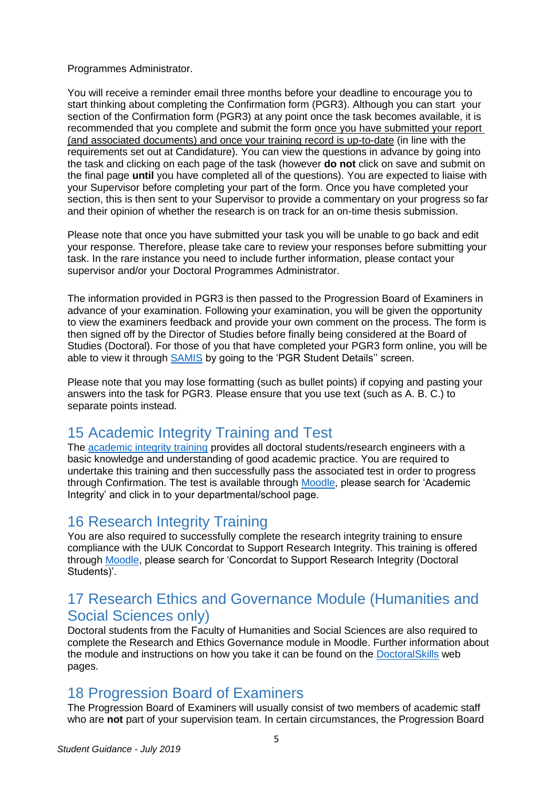#### Programmes Administrator.

You will receive a reminder email three months before your deadline to encourage you to start thinking about completing the Confirmation form (PGR3). Although you can start your section of the Confirmation form (PGR3) at any point once the task becomes available, it is recommended that you complete and submit the form once you have submitted your report (and associated documents) and once your training record is up-to-date (in line with the requirements set out at Candidature). You can view the questions in advance by going into the task and clicking on each page of the task (however **do not** click on save and submit on the final page **until** you have completed all of the questions). You are expected to liaise with your Supervisor before completing your part of the form. Once you have completed your section, this is then sent to your Supervisor to provide a commentary on your progress so far and their opinion of whether the research is on track for an on-time thesis submission.

Please note that once you have submitted your task you will be unable to go back and edit your response. Therefore, please take care to review your responses before submitting your task. In the rare instance you need to include further information, please contact your supervisor and/or your Doctoral Programmes Administrator.

The information provided in PGR3 is then passed to the Progression Board of Examiners in advance of your examination. Following your examination, you will be given the opportunity to view the examiners feedback and provide your own comment on the process. The form is then signed off by the Director of Studies before finally being considered at the Board of Studies (Doctoral). For those of you that have completed your PGR3 form online, you will be able to view it through [SAMIS](https://samis.bath.ac.uk/) by going to the 'PGR Student Details'' screen.

Please note that you may lose formatting (such as bullet points) if copying and pasting your answers into the task for PGR3. Please ensure that you use text (such as A. B. C.) to separate points instead.

### <span id="page-4-0"></span>15 Academic Integrity Training and Test

The [academic integrity training](http://www.bath.ac.uk/learningandteaching/epigeum.bho/index.html) provides all doctoral students/research engineers with a basic knowledge and understanding of good academic practice. You are required to undertake this training and then successfully pass the associated test in order to progress through Confirmation. The test is available through [Moodle,](https://moodle.bath.ac.uk/) please search for 'Academic Integrity' and click in to your departmental/school page.

#### <span id="page-4-1"></span>16 Research Integrity Training

You are also required to successfully complete the research integrity training to ensure compliance with the UUK Concordat to Support Research Integrity. This training is offered through [Moodle, p](https://moodle.bath.ac.uk/enrol/index.php?id=56559)lease search for 'Concordat to Support Research Integrity (Doctoral Students)'.

#### <span id="page-4-2"></span>17 Research Ethics and Governance Module (Humanities and Social Sciences only)

Doctoral students from the Faculty of Humanities and Social Sciences are also required to complete the Research and Ethics Governance module in Moodle. Further information about the module and instructions on how you take it can be found on the [DoctoralSkills](http://www.bath.ac.uk/guides/doctoralskills-online-learning/) web pages.

#### <span id="page-4-3"></span>18 Progression Board of Examiners

The Progression Board of Examiners will usually consist of two members of academic staff who are **not** part of your supervision team. In certain circumstances, the Progression Board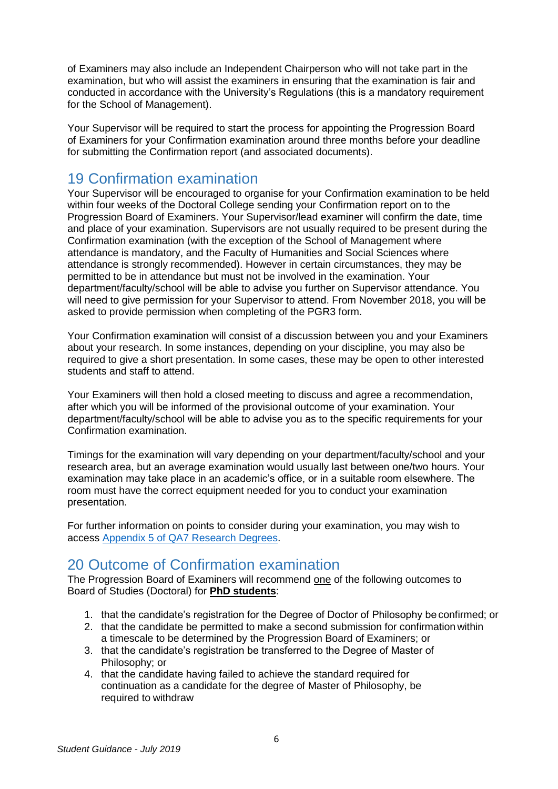of Examiners may also include an Independent Chairperson who will not take part in the examination, but who will assist the examiners in ensuring that the examination is fair and conducted in accordance with the University's Regulations (this is a mandatory requirement for the School of Management).

Your Supervisor will be required to start the process for appointing the Progression Board of Examiners for your Confirmation examination around three months before your deadline for submitting the Confirmation report (and associated documents).

#### <span id="page-5-0"></span>19 Confirmation examination

Your Supervisor will be encouraged to organise for your Confirmation examination to be held within four weeks of the Doctoral College sending your Confirmation report on to the Progression Board of Examiners. Your Supervisor/lead examiner will confirm the date, time and place of your examination. Supervisors are not usually required to be present during the Confirmation examination (with the exception of the School of Management where attendance is mandatory, and the Faculty of Humanities and Social Sciences where attendance is strongly recommended). However in certain circumstances, they may be permitted to be in attendance but must not be involved in the examination. Your department/faculty/school will be able to advise you further on Supervisor attendance. You will need to give permission for your Supervisor to attend. From November 2018, you will be asked to provide permission when completing of the PGR3 form.

Your Confirmation examination will consist of a discussion between you and your Examiners about your research. In some instances, depending on your discipline, you may also be required to give a short presentation. In some cases, these may be open to other interested students and staff to attend.

Your Examiners will then hold a closed meeting to discuss and agree a recommendation, after which you will be informed of the provisional outcome of your examination. Your department/faculty/school will be able to advise you as to the specific requirements for your Confirmation examination.

Timings for the examination will vary depending on your department/faculty/school and your research area, but an average examination would usually last between one/two hours. Your examination may take place in an academic's office, or in a suitable room elsewhere. The room must have the correct equipment needed for you to conduct your examination presentation.

For further information on points to consider during your examination, you may wish to access [Appendix 5 of QA7 Research Degrees.](https://www.bath.ac.uk/publications/qa7-research-degrees/attachments/QA7_Appendix_5_-_Confirmation_of_PhD_Registration.pdf)

### <span id="page-5-1"></span>20 Outcome of Confirmation examination

The Progression Board of Examiners will recommend one of the following outcomes to Board of Studies (Doctoral) for **PhD students**:

- 1. that the candidate's registration for the Degree of Doctor of Philosophy be confirmed; or
- 2. that the candidate be permitted to make a second submission for confirmation within a timescale to be determined by the Progression Board of Examiners; or
- 3. that the candidate's registration be transferred to the Degree of Master of Philosophy; or
- 4. that the candidate having failed to achieve the standard required for continuation as a candidate for the degree of Master of Philosophy, be required to withdraw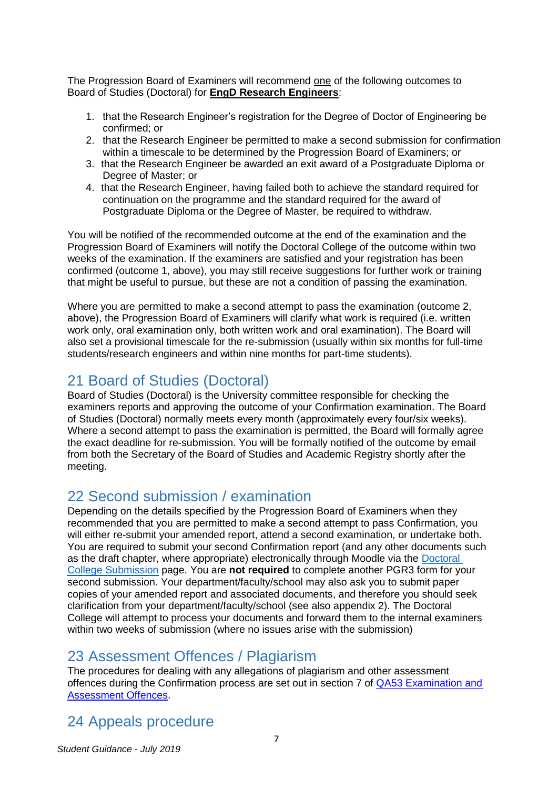The Progression Board of Examiners will recommend one of the following outcomes to Board of Studies (Doctoral) for **EngD Research Engineers**:

- 1. that the Research Engineer's registration for the Degree of Doctor of Engineering be confirmed; or
- 2. that the Research Engineer be permitted to make a second submission for confirmation within a timescale to be determined by the Progression Board of Examiners; or
- 3. that the Research Engineer be awarded an exit award of a Postgraduate Diploma or Degree of Master; or
- 4. that the Research Engineer, having failed both to achieve the standard required for continuation on the programme and the standard required for the award of Postgraduate Diploma or the Degree of Master, be required to withdraw.

You will be notified of the recommended outcome at the end of the examination and the Progression Board of Examiners will notify the Doctoral College of the outcome within two weeks of the examination. If the examiners are satisfied and your registration has been confirmed (outcome 1, above), you may still receive suggestions for further work or training that might be useful to pursue, but these are not a condition of passing the examination.

Where you are permitted to make a second attempt to pass the examination (outcome 2, above), the Progression Board of Examiners will clarify what work is required (i.e. written work only, oral examination only, both written work and oral examination). The Board will also set a provisional timescale for the re-submission (usually within six months for full-time students/research engineers and within nine months for part-time students).

#### <span id="page-6-0"></span>21 Board of Studies (Doctoral)

Board of Studies (Doctoral) is the University committee responsible for checking the examiners reports and approving the outcome of your Confirmation examination. The Board of Studies (Doctoral) normally meets every month (approximately every four/six weeks). Where a second attempt to pass the examination is permitted, the Board will formally agree the exact deadline for re-submission. You will be formally notified of the outcome by email from both the Secretary of the Board of Studies and Academic Registry shortly after the meeting.

#### <span id="page-6-1"></span>22 Second submission / examination

Depending on the details specified by the Progression Board of Examiners when they recommended that you are permitted to make a second attempt to pass Confirmation, you will either re-submit your amended report, attend a second examination, or undertake both. You are required to submit your second Confirmation report (and any other documents such as the draft chapter, where appropriate) electronically through Moodle via the [Doctoral](https://moodle.bath.ac.uk/course/view.php?id=58088)  [College Submission](https://moodle.bath.ac.uk/course/view.php?id=58088) page. You are **not required** to complete another PGR3 form for your second submission. Your department/faculty/school may also ask you to submit paper copies of your amended report and associated documents, and therefore you should seek clarification from your department/faculty/school (see also appendix 2). The Doctoral College will attempt to process your documents and forward them to the internal examiners within two weeks of submission (where no issues arise with the submission)

#### <span id="page-6-2"></span>23 Assessment Offences / Plagiarism

The procedures for dealing with any allegations of plagiarism and other assessment offences during the Confirmation process are set out in section 7 of [QA53 Examination and](https://www.bath.ac.uk/publications/qa53-examination-and-assessment-offences/)  [Assessment Offences.](https://www.bath.ac.uk/publications/qa53-examination-and-assessment-offences/)

## <span id="page-6-3"></span>24 Appeals procedure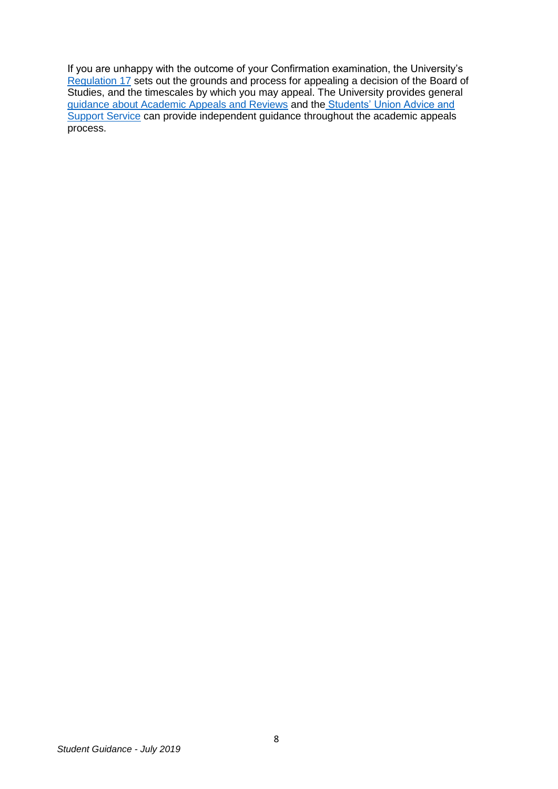If you are unhappy with the outcome of your Confirmation examination, the University's [Regulation 17](http://www.bath.ac.uk/regulations/Regulation17.pdf) sets out the grounds and process for appealing a decision of the Board of Studies, and the timescales by which you may appeal. The University provides general <u>[guidance about Academic Appeals and Reviews](https://www.bath.ac.uk/guides/appealing-against-an-academic-decision/)</u> and the <u>[Students' Union Advice and](https://www.thesubath.com/advice/)</u> [Support Service](https://www.thesubath.com/advice/) can provide independent guidance throughout the academic appeals process.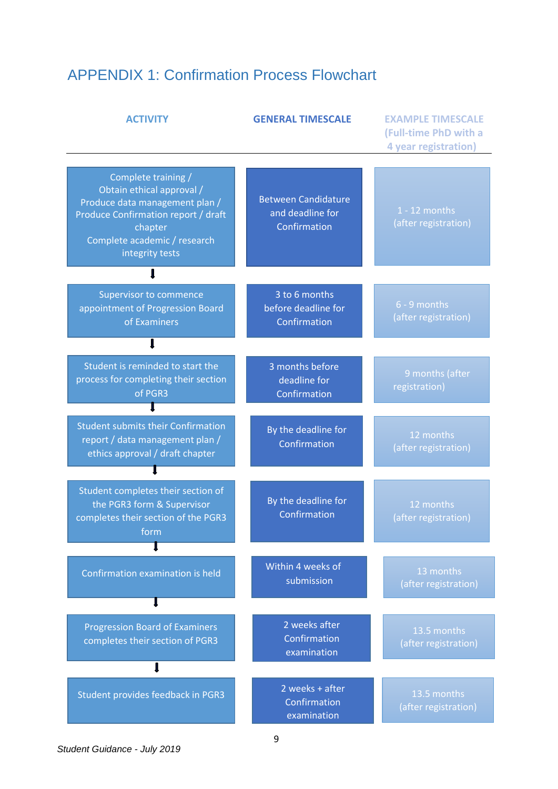# <span id="page-8-0"></span>APPENDIX 1: Confirmation Process Flowchart

| <b>ACTIVITY</b>                                                                                                                                                                         | <b>GENERAL TIMESCALE</b>                                       | <b>EXAMPLE TIMESCALE</b><br>(Full-time PhD with a<br>4 year registration) |
|-----------------------------------------------------------------------------------------------------------------------------------------------------------------------------------------|----------------------------------------------------------------|---------------------------------------------------------------------------|
| Complete training /<br>Obtain ethical approval /<br>Produce data management plan /<br>Produce Confirmation report / draft<br>chapter<br>Complete academic / research<br>integrity tests | <b>Between Candidature</b><br>and deadline for<br>Confirmation | $1 - 12$ months<br>(after registration)                                   |
|                                                                                                                                                                                         |                                                                |                                                                           |
| Supervisor to commence<br>appointment of Progression Board<br>of Examiners                                                                                                              | 3 to 6 months<br>before deadline for<br>Confirmation           | 6 - 9 months<br>(after registration)                                      |
|                                                                                                                                                                                         |                                                                |                                                                           |
| Student is reminded to start the<br>process for completing their section<br>of PGR3                                                                                                     | 3 months before<br>deadline for<br>Confirmation                | 9 months (after<br>registration)                                          |
| <b>Student submits their Confirmation</b><br>report / data management plan /<br>ethics approval / draft chapter                                                                         | By the deadline for<br>Confirmation                            | 12 months<br>(after registration)                                         |
| Student completes their section of<br>the PGR3 form & Supervisor<br>completes their section of the PGR3<br>form                                                                         | By the deadline for<br>Confirmation                            | 12 months<br>(after registration)                                         |
|                                                                                                                                                                                         |                                                                |                                                                           |
| Confirmation examination is held                                                                                                                                                        | Within 4 weeks of<br>submission                                | 13 months<br>(after registration)                                         |
|                                                                                                                                                                                         |                                                                |                                                                           |
| <b>Progression Board of Examiners</b><br>completes their section of PGR3                                                                                                                | 2 weeks after<br>Confirmation<br>examination                   | 13.5 months<br>(after registration)                                       |
|                                                                                                                                                                                         |                                                                |                                                                           |
| Student provides feedback in PGR3                                                                                                                                                       | 2 weeks + after<br>Confirmation<br>examination                 | 13.5 months<br>(after registration)                                       |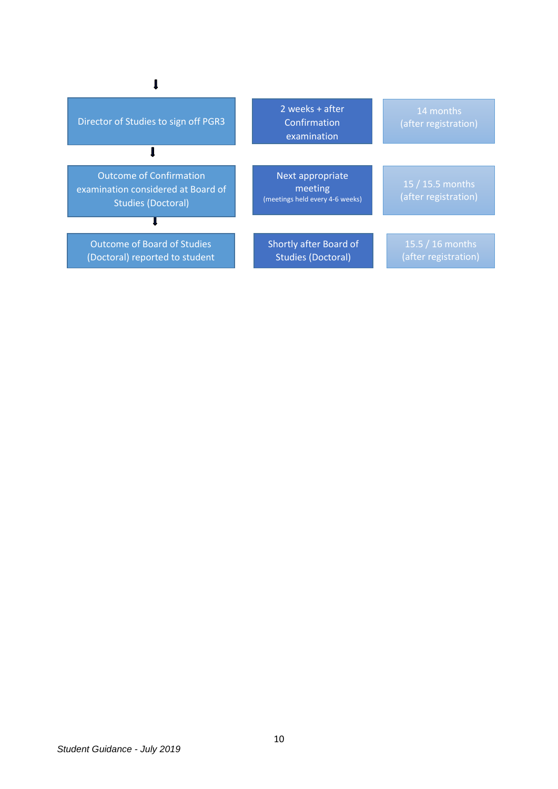| Director of Studies to sign off PGR3                                                              | 2 weeks + after<br>Confirmation<br>examination                 | 14 months<br>(after registration)        |  |  |  |
|---------------------------------------------------------------------------------------------------|----------------------------------------------------------------|------------------------------------------|--|--|--|
|                                                                                                   |                                                                |                                          |  |  |  |
| <b>Outcome of Confirmation</b><br>examination considered at Board of<br><b>Studies (Doctoral)</b> | Next appropriate<br>meeting<br>(meetings held every 4-6 weeks) | 15 / 15.5 months<br>(after registration) |  |  |  |
|                                                                                                   |                                                                |                                          |  |  |  |
| <b>Outcome of Board of Studies</b><br>(Doctoral) reported to student                              | Shortly after Board of<br><b>Studies (Doctoral)</b>            | $15.5/16$ months<br>(after registration) |  |  |  |

 $\pmb{\Downarrow}$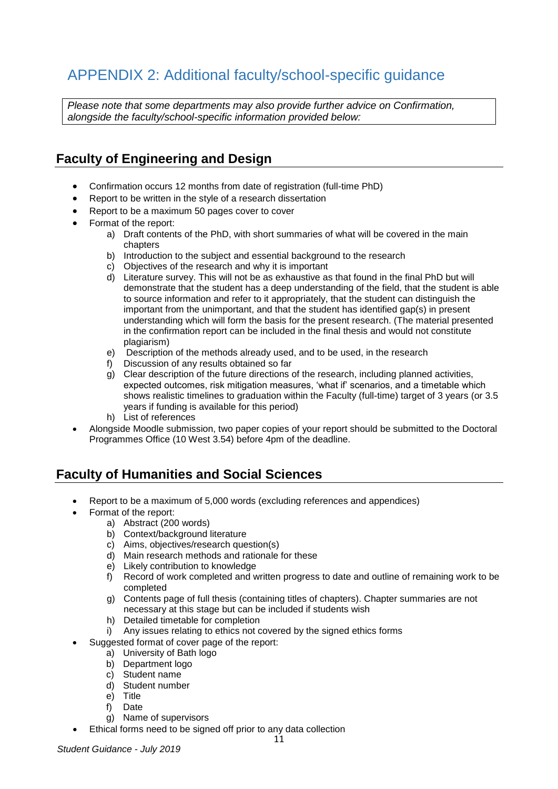## <span id="page-10-0"></span>APPENDIX 2: Additional faculty/school-specific guidance

*Please note that some departments may also provide further advice on Confirmation, alongside the faculty/school-specific information provided below:*

#### **Faculty of Engineering and Design**

- Confirmation occurs 12 months from date of registration (full-time PhD)
- Report to be written in the style of a research dissertation
- Report to be a maximum 50 pages cover to cover
- Format of the report:
	- a) Draft contents of the PhD, with short summaries of what will be covered in the main chapters
	- b) Introduction to the subject and essential background to the research
	- c) Objectives of the research and why it is important
	- d) Literature survey. This will not be as exhaustive as that found in the final PhD but will demonstrate that the student has a deep understanding of the field, that the student is able to source information and refer to it appropriately, that the student can distinguish the important from the unimportant, and that the student has identified gap(s) in present understanding which will form the basis for the present research. (The material presented in the confirmation report can be included in the final thesis and would not constitute plagiarism)
	- e) Description of the methods already used, and to be used, in the research
	- f) Discussion of any results obtained so far
	- g) Clear description of the future directions of the research, including planned activities, expected outcomes, risk mitigation measures, 'what if' scenarios, and a timetable which shows realistic timelines to graduation within the Faculty (full-time) target of 3 years (or 3.5 years if funding is available for this period)
	- h) List of references
- Alongside Moodle submission, two paper copies of your report should be submitted to the Doctoral Programmes Office (10 West 3.54) before 4pm of the deadline.

#### **Faculty of Humanities and Social Sciences**

- Report to be a maximum of 5,000 words (excluding references and appendices)
- Format of the report:
	- a) Abstract (200 words)
	- b) Context/background literature
	- c) Aims, objectives/research question(s)
	- d) Main research methods and rationale for these
	- e) Likely contribution to knowledge
	- f) Record of work completed and written progress to date and outline of remaining work to be completed
	- g) Contents page of full thesis (containing titles of chapters). Chapter summaries are not necessary at this stage but can be included if students wish
	- h) Detailed timetable for completion
	- i) Any issues relating to ethics not covered by the signed ethics forms
	- Suggested format of cover page of the report:
		- a) University of Bath logo
		- b) Department logo
		- c) Student name
		- d) Student number
		- e) Title
		- f) Date
		- g) Name of supervisors
- Ethical forms need to be signed off prior to any data collection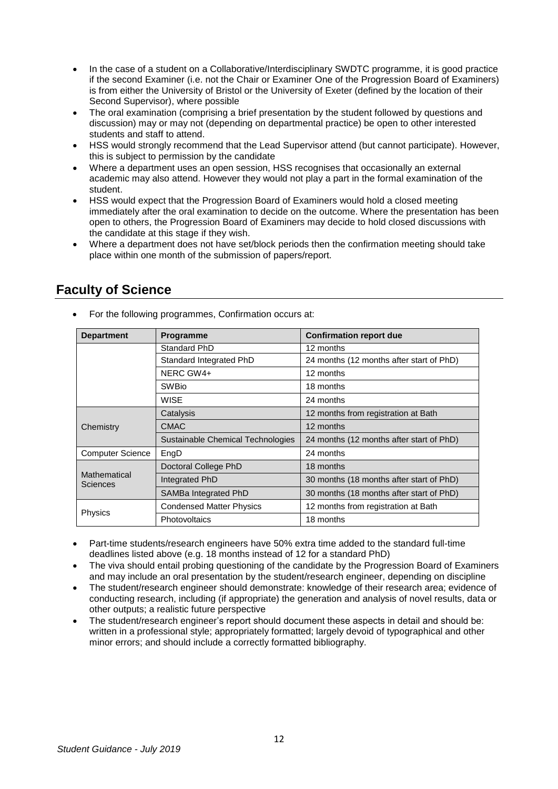- In the case of a student on a Collaborative/Interdisciplinary SWDTC programme, it is good practice if the second Examiner (i.e. not the Chair or Examiner One of the Progression Board of Examiners) is from either the University of Bristol or the University of Exeter (defined by the location of their Second Supervisor), where possible
- The oral examination (comprising a brief presentation by the student followed by questions and discussion) may or may not (depending on departmental practice) be open to other interested students and staff to attend.
- HSS would strongly recommend that the Lead Supervisor attend (but cannot participate). However, this is subject to permission by the candidate
- Where a department uses an open session, HSS recognises that occasionally an external academic may also attend. However they would not play a part in the formal examination of the student.
- HSS would expect that the Progression Board of Examiners would hold a closed meeting immediately after the oral examination to decide on the outcome. Where the presentation has been open to others, the Progression Board of Examiners may decide to hold closed discussions with the candidate at this stage if they wish.
- Where a department does not have set/block periods then the confirmation meeting should take place within one month of the submission of papers/report.

| <b>Department</b>        | <b>Programme</b>                  | <b>Confirmation report due</b>           |  |
|--------------------------|-----------------------------------|------------------------------------------|--|
|                          | Standard PhD                      | 12 months                                |  |
|                          | Standard Integrated PhD           | 24 months (12 months after start of PhD) |  |
|                          | NERC GW4+                         | 12 months                                |  |
|                          | <b>SWBio</b>                      | 18 months                                |  |
|                          | <b>WISE</b>                       | 24 months                                |  |
|                          | Catalysis                         | 12 months from registration at Bath      |  |
| Chemistry                | <b>CMAC</b>                       | 12 months                                |  |
|                          | Sustainable Chemical Technologies | 24 months (12 months after start of PhD) |  |
| <b>Computer Science</b>  | EngD                              | 24 months                                |  |
|                          | Doctoral College PhD              | 18 months                                |  |
| Mathematical<br>Sciences | Integrated PhD                    | 30 months (18 months after start of PhD) |  |
|                          | SAMBa Integrated PhD              | 30 months (18 months after start of PhD) |  |
|                          | <b>Condensed Matter Physics</b>   | 12 months from registration at Bath      |  |
| <b>Physics</b>           | Photovoltaics                     | 18 months                                |  |

#### **Faculty of Science**

• For the following programmes, Confirmation occurs at:

- Part-time students/research engineers have 50% extra time added to the standard full-time deadlines listed above (e.g. 18 months instead of 12 for a standard PhD)
- The viva should entail probing questioning of the candidate by the Progression Board of Examiners and may include an oral presentation by the student/research engineer, depending on discipline
- The student/research engineer should demonstrate: knowledge of their research area; evidence of conducting research, including (if appropriate) the generation and analysis of novel results, data or other outputs; a realistic future perspective
- The student/research engineer's report should document these aspects in detail and should be: written in a professional style; appropriately formatted; largely devoid of typographical and other minor errors; and should include a correctly formatted bibliography.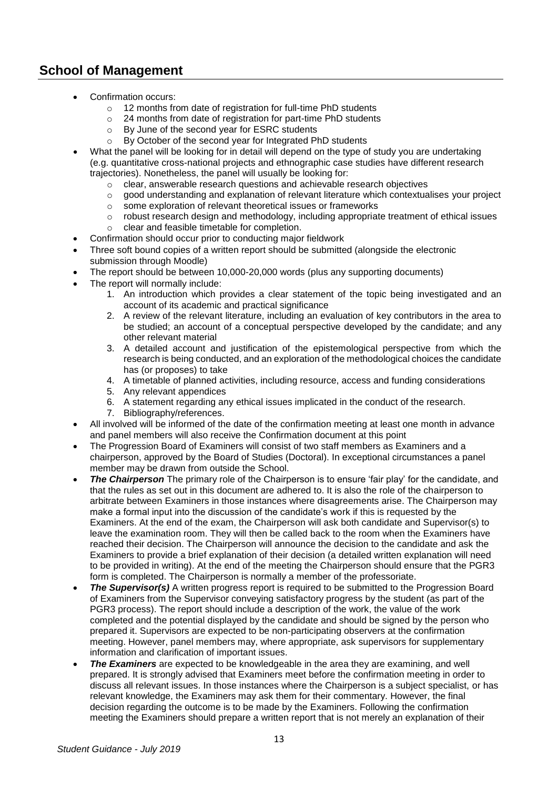#### **School of Management**

- Confirmation occurs:
	- o 12 months from date of registration for full-time PhD students
	- o 24 months from date of registration for part-time PhD students
	- o By June of the second year for ESRC students
	- o By October of the second year for Integrated PhD students
- What the panel will be looking for in detail will depend on the type of study you are undertaking (e.g. quantitative cross-national projects and ethnographic case studies have different research trajectories). Nonetheless, the panel will usually be looking for:
	- $\circ$  clear, answerable research questions and achievable research objectives
	- $\circ$  good understanding and explanation of relevant literature which contextualises your project
	- o some exploration of relevant theoretical issues or frameworks
	- $\circ$  robust research design and methodology, including appropriate treatment of ethical issues
	- o clear and feasible timetable for completion.
- Confirmation should occur prior to conducting major fieldwork
- Three soft bound copies of a written report should be submitted (alongside the electronic submission through Moodle)
- The report should be between 10,000-20,000 words (plus any supporting documents)
- The report will normally include:
	- 1. An introduction which provides a clear statement of the topic being investigated and an account of its academic and practical significance
	- 2. A review of the relevant literature, including an evaluation of key contributors in the area to be studied; an account of a conceptual perspective developed by the candidate; and any other relevant material
	- 3. A detailed account and justification of the epistemological perspective from which the research is being conducted, and an exploration of the methodological choices the candidate has (or proposes) to take
	- 4. A timetable of planned activities, including resource, access and funding considerations
	- 5. Any relevant appendices
	- 6. A statement regarding any ethical issues implicated in the conduct of the research.
	- 7. Bibliography/references.
- All involved will be informed of the date of the confirmation meeting at least one month in advance and panel members will also receive the Confirmation document at this point
- The Progression Board of Examiners will consist of two staff members as Examiners and a chairperson, approved by the Board of Studies (Doctoral). In exceptional circumstances a panel member may be drawn from outside the School.
- **The Chairperson** The primary role of the Chairperson is to ensure 'fair play' for the candidate, and that the rules as set out in this document are adhered to. It is also the role of the chairperson to arbitrate between Examiners in those instances where disagreements arise. The Chairperson may make a formal input into the discussion of the candidate's work if this is requested by the Examiners. At the end of the exam, the Chairperson will ask both candidate and Supervisor(s) to leave the examination room. They will then be called back to the room when the Examiners have reached their decision. The Chairperson will announce the decision to the candidate and ask the Examiners to provide a brief explanation of their decision (a detailed written explanation will need to be provided in writing). At the end of the meeting the Chairperson should ensure that the PGR3 form is completed. The Chairperson is normally a member of the professoriate.
- **The Supervisor(s)** A written progress report is required to be submitted to the Progression Board of Examiners from the Supervisor conveying satisfactory progress by the student (as part of the PGR3 process). The report should include a description of the work, the value of the work completed and the potential displayed by the candidate and should be signed by the person who prepared it. Supervisors are expected to be non-participating observers at the confirmation meeting. However, panel members may, where appropriate, ask supervisors for supplementary information and clarification of important issues.
- **The Examiners** are expected to be knowledgeable in the area they are examining, and well prepared. It is strongly advised that Examiners meet before the confirmation meeting in order to discuss all relevant issues. In those instances where the Chairperson is a subject specialist, or has relevant knowledge, the Examiners may ask them for their commentary. However, the final decision regarding the outcome is to be made by the Examiners. Following the confirmation meeting the Examiners should prepare a written report that is not merely an explanation of their